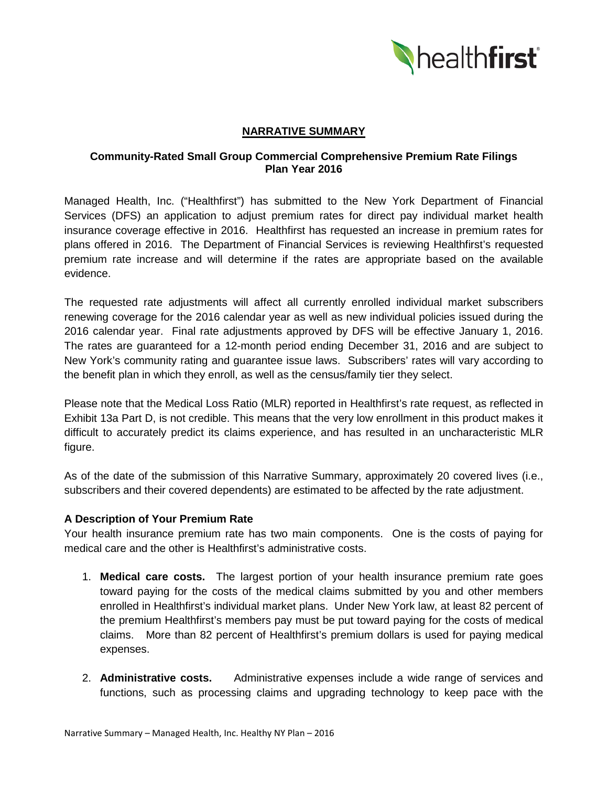

# **NARRATIVE SUMMARY**

# **Community-Rated Small Group Commercial Comprehensive Premium Rate Filings Plan Year 2016**

Managed Health, Inc. ("Healthfirst") has submitted to the New York Department of Financial Services (DFS) an application to adjust premium rates for direct pay individual market health insurance coverage effective in 2016. Healthfirst has requested an increase in premium rates for plans offered in 2016. The Department of Financial Services is reviewing Healthfirst's requested premium rate increase and will determine if the rates are appropriate based on the available evidence.

The requested rate adjustments will affect all currently enrolled individual market subscribers renewing coverage for the 2016 calendar year as well as new individual policies issued during the 2016 calendar year. Final rate adjustments approved by DFS will be effective January 1, 2016. The rates are guaranteed for a 12-month period ending December 31, 2016 and are subject to New York's community rating and guarantee issue laws. Subscribers' rates will vary according to the benefit plan in which they enroll, as well as the census/family tier they select.

Please note that the Medical Loss Ratio (MLR) reported in Healthfirst's rate request, as reflected in Exhibit 13a Part D, is not credible. This means that the very low enrollment in this product makes it difficult to accurately predict its claims experience, and has resulted in an uncharacteristic MLR figure.

As of the date of the submission of this Narrative Summary, approximately 20 covered lives (i.e., subscribers and their covered dependents) are estimated to be affected by the rate adjustment.

### **A Description of Your Premium Rate**

Your health insurance premium rate has two main components. One is the costs of paying for medical care and the other is Healthfirst's administrative costs.

- 1. **Medical care costs.** The largest portion of your health insurance premium rate goes toward paying for the costs of the medical claims submitted by you and other members enrolled in Healthfirst's individual market plans. Under New York law, at least 82 percent of the premium Healthfirst's members pay must be put toward paying for the costs of medical claims. More than 82 percent of Healthfirst's premium dollars is used for paying medical expenses.
- 2. **Administrative costs.** Administrative expenses include a wide range of services and functions, such as processing claims and upgrading technology to keep pace with the